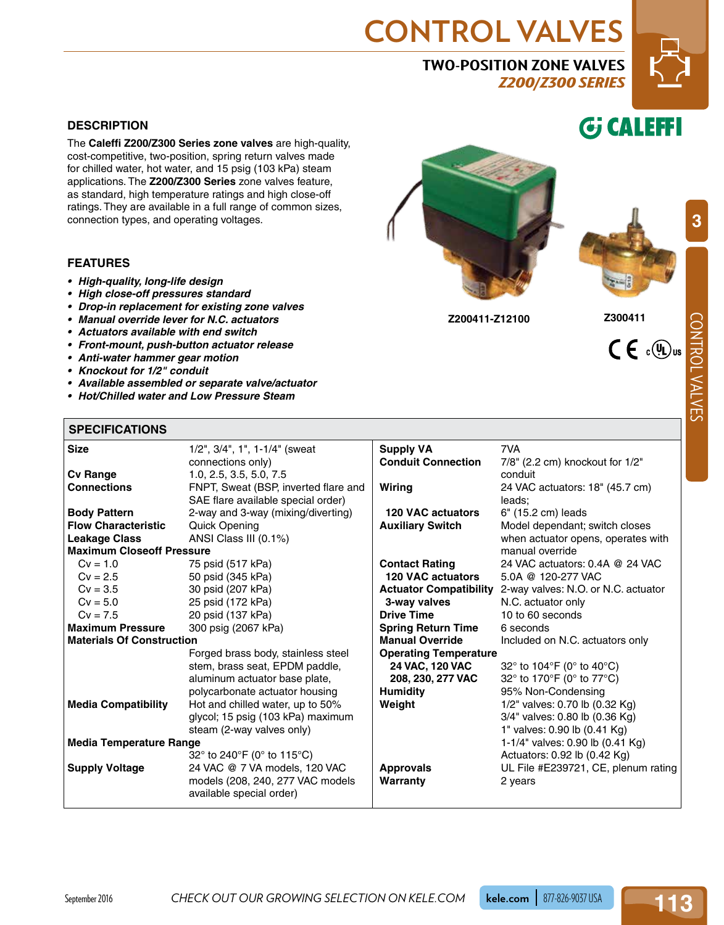# **CONTROL VALVES**

## **Two-Position Zone Valves** *Z200/Z300 Series*



### **DESCRIPTION**

**DESCRIPTION**<br>The **Caleffi Z200/Z300 Series zone valves** are high-cost-competitive, two-position, spring return valves mator chilled water, hot water, and 15 psig (103 kPa) stee applications. The **Z200/Z300 Series** zone va The **Caleffi Z200/Z300 Series zone valves** are high-quality, cost-competitive, two-position, spring return valves made for chilled water, hot water, and 15 psig (103 kPa) steam applications. The **Z200/Z300 Series** zone valves feature, as standard, high temperature ratings and high close-off ratings. They are available in a full range of common sizes, connection types, and operating voltages.

# **FEATURES**

- **• High-quality, long-life design**
- **• High close-off pressures standard**
- **• Drop-in replacement for existing zone valves**
- **• Manual override lever for N.C. actuators**
- **• Actuators available with end switch**
- **• Front-mount, push-button actuator release**
- **• Anti-water hammer gear motion**
- **• Knockout for 1/2" conduit**
- **• Available assembled or separate valve/actuator**
- **• Hot/Chilled water and Low Pressure Steam**

### **SPECIFICATIONS**





**Gi CALEFFI** 

**Z200411-Z12100 Z300411**



CONTROL VALVES

**CONTROL VALVES** 

**3**

| <b>Size</b>                      | $1/2$ ", $3/4$ ", $1$ ", $1-1/4$ " (sweat | <b>Supply VA</b>              | 7VA                                 |
|----------------------------------|-------------------------------------------|-------------------------------|-------------------------------------|
|                                  | connections only)                         | <b>Conduit Connection</b>     | 7/8" (2.2 cm) knockout for 1/2"     |
| <b>Cv Range</b>                  | 1.0, 2.5, 3.5, 5.0, 7.5                   |                               | conduit                             |
| <b>Connections</b>               | FNPT, Sweat (BSP, inverted flare and      | Wiring                        | 24 VAC actuators: 18" (45.7 cm)     |
|                                  | SAE flare available special order)        |                               | leads:                              |
| <b>Body Pattern</b>              | 2-way and 3-way (mixing/diverting)        | <b>120 VAC actuators</b>      | 6" (15.2 cm) leads                  |
| <b>Flow Characteristic</b>       | <b>Quick Opening</b>                      | <b>Auxiliary Switch</b>       | Model dependant; switch closes      |
| <b>Leakage Class</b>             | ANSI Class III (0.1%)                     |                               | when actuator opens, operates with  |
| <b>Maximum Closeoff Pressure</b> |                                           |                               | manual override                     |
| $Cv = 1.0$                       | 75 psid (517 kPa)                         | <b>Contact Rating</b>         | 24 VAC actuators: 0.4A @ 24 VAC     |
| $Cv = 2.5$                       | 50 psid (345 kPa)                         | <b>120 VAC actuators</b>      | 5.0A @ 120-277 VAC                  |
| $Cv = 3.5$                       | 30 psid (207 kPa)                         | <b>Actuator Compatibility</b> | 2-way valves: N.O. or N.C. actuator |
| $Cv = 5.0$                       | 25 psid (172 kPa)                         | 3-way valves                  | N.C. actuator only                  |
| $Cv = 7.5$                       | 20 psid (137 kPa)                         | <b>Drive Time</b>             | 10 to 60 seconds                    |
| <b>Maximum Pressure</b>          | 300 psig (2067 kPa)                       | <b>Spring Return Time</b>     | 6 seconds                           |
| <b>Materials Of Construction</b> |                                           | <b>Manual Override</b>        | Included on N.C. actuators only     |
|                                  | Forged brass body, stainless steel        | <b>Operating Temperature</b>  |                                     |
|                                  | stem, brass seat, EPDM paddle,            | 24 VAC, 120 VAC               | 32° to 104°F (0° to 40°C)           |
|                                  | aluminum actuator base plate,             | 208, 230, 277 VAC             | 32° to 170°F (0° to 77°C)           |
|                                  | polycarbonate actuator housing            | <b>Humidity</b>               | 95% Non-Condensing                  |
| <b>Media Compatibility</b>       | Hot and chilled water, up to 50%          | Weight                        | 1/2" valves: 0.70 lb (0.32 Kg)      |
|                                  | glycol; 15 psig (103 kPa) maximum         |                               | 3/4" valves: 0.80 lb (0.36 Kg)      |
|                                  | steam (2-way valves only)                 |                               | 1" valves: 0.90 lb (0.41 Kg)        |
| <b>Media Temperature Range</b>   |                                           |                               | 1-1/4" valves: 0.90 lb (0.41 Kg)    |
|                                  | 32° to 240°F (0° to 115°C)                |                               | Actuators: 0.92 lb (0.42 Kg)        |
| <b>Supply Voltage</b>            | 24 VAC @ 7 VA models, 120 VAC             | <b>Approvals</b>              | UL File #E239721, CE, plenum rating |
|                                  | models (208, 240, 277 VAC models          | <b>Warranty</b>               | 2 years                             |
|                                  | available special order)                  |                               |                                     |
|                                  |                                           |                               |                                     |